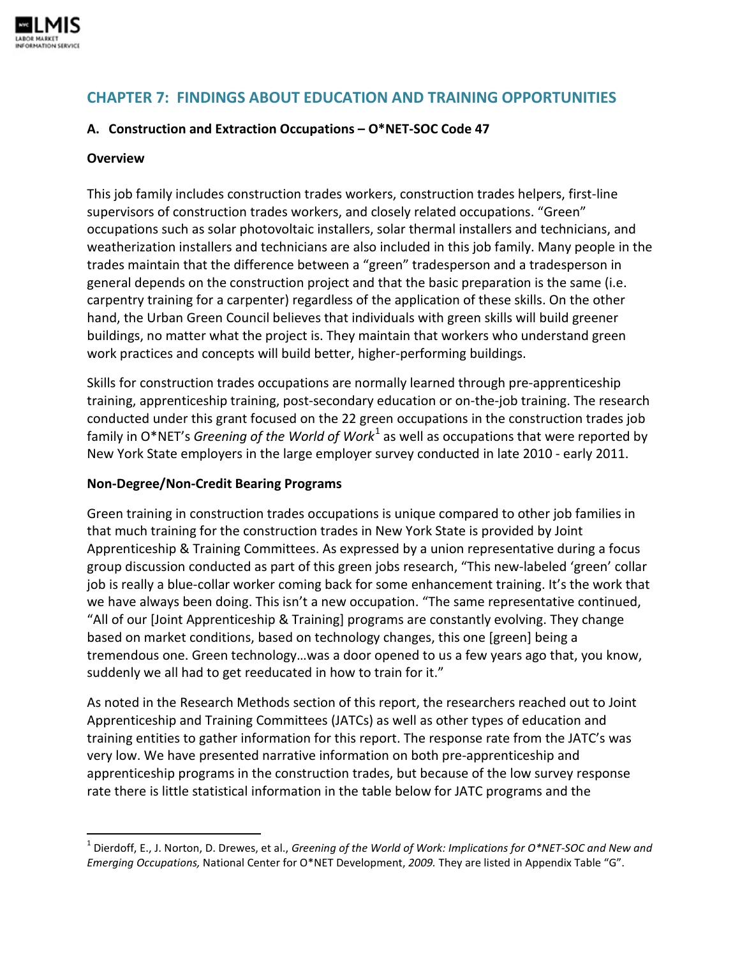

# **CHAPTER 7: FINDINGS ABOUT EDUCATION AND TRAINING OPPORTUNITIES**

#### **A. Construction and Extraction Occupations – O\*NET-SOC Code 47**

#### **Overview**

This job family includes construction trades workers, construction trades helpers, first-line supervisors of construction trades workers, and closely related occupations. "Green" occupations such as solar photovoltaic installers, solar thermal installers and technicians, and weatherization installers and technicians are also included in this job family. Many people in the trades maintain that the difference between a "green" tradesperson and a tradesperson in general depends on the construction project and that the basic preparation is the same (i.e. carpentry training for a carpenter) regardless of the application of these skills. On the other hand, the Urban Green Council believes that individuals with green skills will build greener buildings, no matter what the project is. They maintain that workers who understand green work practices and concepts will build better, higher-performing buildings.

Skills for construction trades occupations are normally learned through pre-apprenticeship training, apprenticeship training, post-secondary education or on-the-job training. The research conducted under this grant focused on the 22 green occupations in the construction trades job family in O\*NET's *Greening of the World of Work*<sup>[1](#page-0-0)</sup> as well as occupations that were reported by New York State employers in the large employer survey conducted in late 2010 - early 2011.

#### **Non-Degree/Non-Credit Bearing Programs**

Green training in construction trades occupations is unique compared to other job families in that much training for the construction trades in New York State is provided by Joint Apprenticeship & Training Committees. As expressed by a union representative during a focus group discussion conducted as part of this green jobs research, "This new-labeled 'green' collar job is really a blue-collar worker coming back for some enhancement training. It's the work that we have always been doing. This isn't a new occupation. "The same representative continued, "All of our [Joint Apprenticeship & Training] programs are constantly evolving. They change based on market conditions, based on technology changes, this one [green] being a tremendous one. Green technology…was a door opened to us a few years ago that, you know, suddenly we all had to get reeducated in how to train for it."

As noted in the Research Methods section of this report, the researchers reached out to Joint Apprenticeship and Training Committees (JATCs) as well as other types of education and training entities to gather information for this report. The response rate from the JATC's was very low. We have presented narrative information on both pre-apprenticeship and apprenticeship programs in the construction trades, but because of the low survey response rate there is little statistical information in the table below for JATC programs and the

<span id="page-0-0"></span> <sup>1</sup> Dierdoff, E., J. Norton, D. Drewes, et al., *Greening of the World of Work: Implications for O\*NET-SOC and New and Emerging Occupations,* National Center for O\*NET Development, *2009.* They are listed in Appendix Table "G".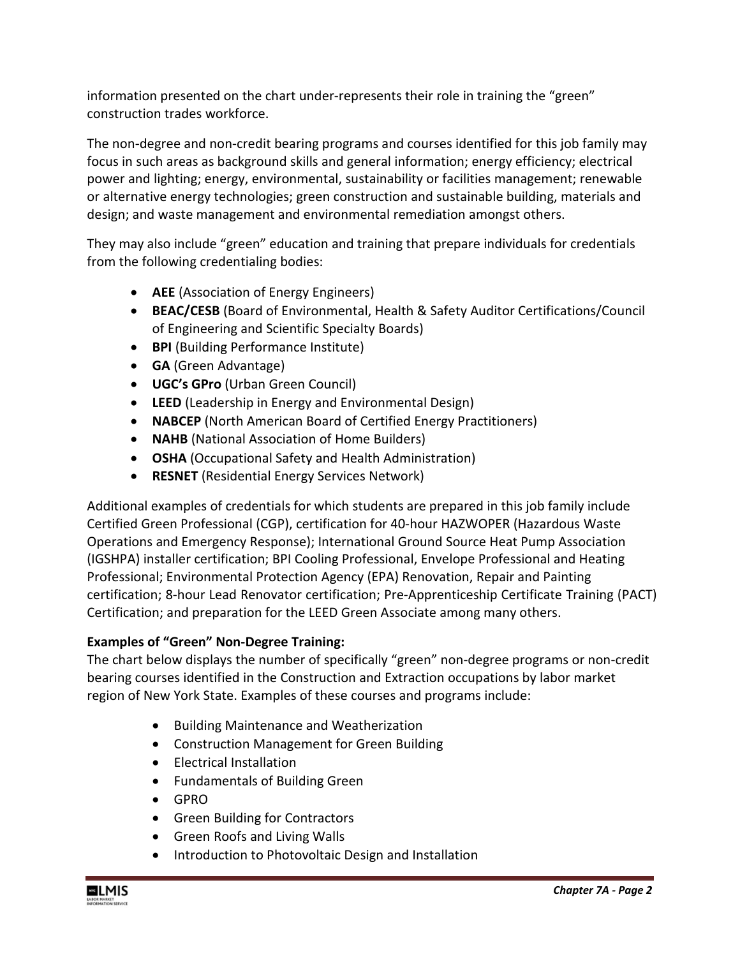information presented on the chart under-represents their role in training the "green" construction trades workforce.

The non-degree and non-credit bearing programs and courses identified for this job family may focus in such areas as background skills and general information; energy efficiency; electrical power and lighting; energy, environmental, sustainability or facilities management; renewable or alternative energy technologies; green construction and sustainable building, materials and design; and waste management and environmental remediation amongst others.

They may also include "green" education and training that prepare individuals for credentials from the following credentialing bodies:

- **AEE** (Association of Energy Engineers)
- **BEAC/CESB** (Board of Environmental, Health & Safety Auditor Certifications/Council of Engineering and Scientific Specialty Boards)
- **BPI** (Building Performance Institute)
- **GA** (Green Advantage)
- **UGC's GPro** (Urban Green Council)
- **LEED** (Leadership in Energy and Environmental Design)
- **NABCEP** (North American Board of Certified Energy Practitioners)
- **NAHB** (National Association of Home Builders)
- **OSHA** (Occupational Safety and Health Administration)
- **RESNET** (Residential Energy Services Network)

Additional examples of credentials for which students are prepared in this job family include Certified Green Professional (CGP), certification for 40-hour HAZWOPER (Hazardous Waste Operations and Emergency Response); International Ground Source Heat Pump Association (IGSHPA) installer certification; BPI Cooling Professional, Envelope Professional and Heating Professional; Environmental Protection Agency (EPA) Renovation, Repair and Painting certification; 8-hour Lead Renovator certification; Pre-Apprenticeship Certificate Training (PACT) Certification; and preparation for the LEED Green Associate among many others.

# **Examples of "Green" Non-Degree Training:**

The chart below displays the number of specifically "green" non-degree programs or non-credit bearing courses identified in the Construction and Extraction occupations by labor market region of New York State. Examples of these courses and programs include:

- Building Maintenance and Weatherization
- Construction Management for Green Building
- Electrical Installation
- Fundamentals of Building Green
- GPRO
- Green Building for Contractors
- Green Roofs and Living Walls
- Introduction to Photovoltaic Design and Installation

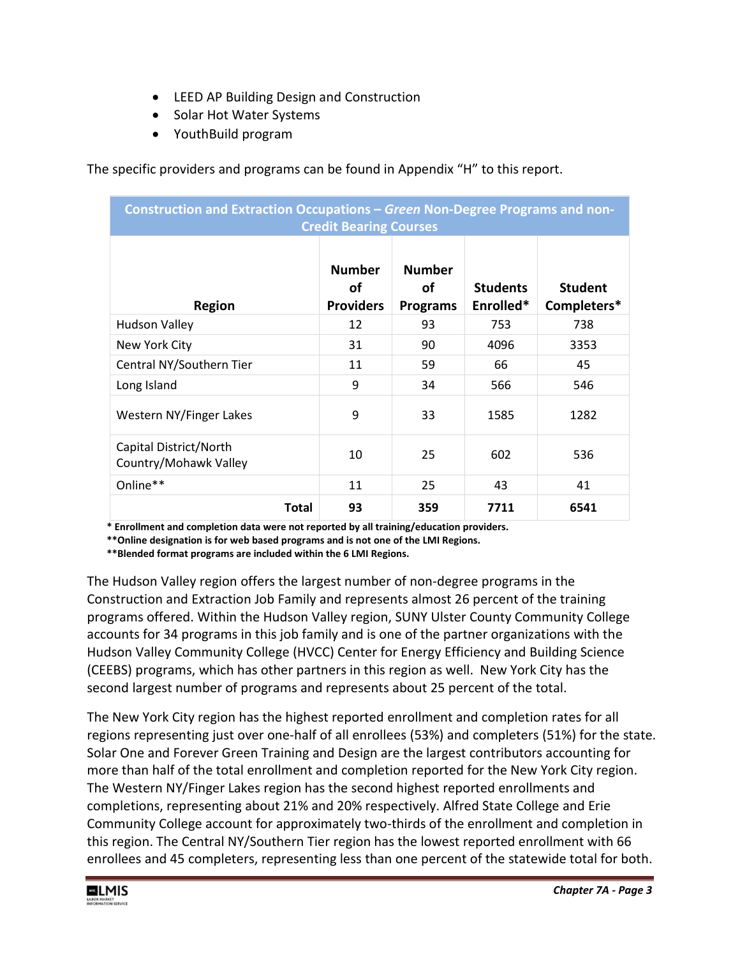- LEED AP Building Design and Construction
- Solar Hot Water Systems
- YouthBuild program

The specific providers and programs can be found in Appendix "H" to this report.

| Construction and Extraction Occupations - Green Non-Degree Programs and non-<br><b>Credit Bearing Courses</b> |                                         |                                        |                              |                               |
|---------------------------------------------------------------------------------------------------------------|-----------------------------------------|----------------------------------------|------------------------------|-------------------------------|
| <b>Region</b>                                                                                                 | <b>Number</b><br>οf<br><b>Providers</b> | <b>Number</b><br>οf<br><b>Programs</b> | <b>Students</b><br>Enrolled* | <b>Student</b><br>Completers* |
| <b>Hudson Valley</b>                                                                                          | 12                                      | 93                                     | 753                          | 738                           |
| New York City                                                                                                 | 31                                      | 90                                     | 4096                         | 3353                          |
| Central NY/Southern Tier                                                                                      | 11                                      | 59                                     | 66                           | 45                            |
| Long Island                                                                                                   | 9                                       | 34                                     | 566                          | 546                           |
| Western NY/Finger Lakes                                                                                       | 9                                       | 33                                     | 1585                         | 1282                          |
| Capital District/North<br>Country/Mohawk Valley                                                               | 10                                      | 25                                     | 602                          | 536                           |
| Online**                                                                                                      | 11                                      | 25                                     | 43                           | 41                            |
| <b>Total</b>                                                                                                  | 93                                      | 359                                    | 7711                         | 6541                          |

**\* Enrollment and completion data were not reported by all training/education providers.** 

 **\*\*Online designation is for web based programs and is not one of the LMI Regions.**

 **\*\*Blended format programs are included within the 6 LMI Regions.**

The Hudson Valley region offers the largest number of non-degree programs in the Construction and Extraction Job Family and represents almost 26 percent of the training programs offered. Within the Hudson Valley region, SUNY Ulster County Community College accounts for 34 programs in this job family and is one of the partner organizations with the Hudson Valley Community College (HVCC) Center for Energy Efficiency and Building Science (CEEBS) programs, which has other partners in this region as well. New York City has the second largest number of programs and represents about 25 percent of the total.

The New York City region has the highest reported enrollment and completion rates for all regions representing just over one-half of all enrollees (53%) and completers (51%) for the state. Solar One and Forever Green Training and Design are the largest contributors accounting for more than half of the total enrollment and completion reported for the New York City region. The Western NY/Finger Lakes region has the second highest reported enrollments and completions, representing about 21% and 20% respectively. Alfred State College and Erie Community College account for approximately two-thirds of the enrollment and completion in this region. The Central NY/Southern Tier region has the lowest reported enrollment with 66 enrollees and 45 completers, representing less than one percent of the statewide total for both.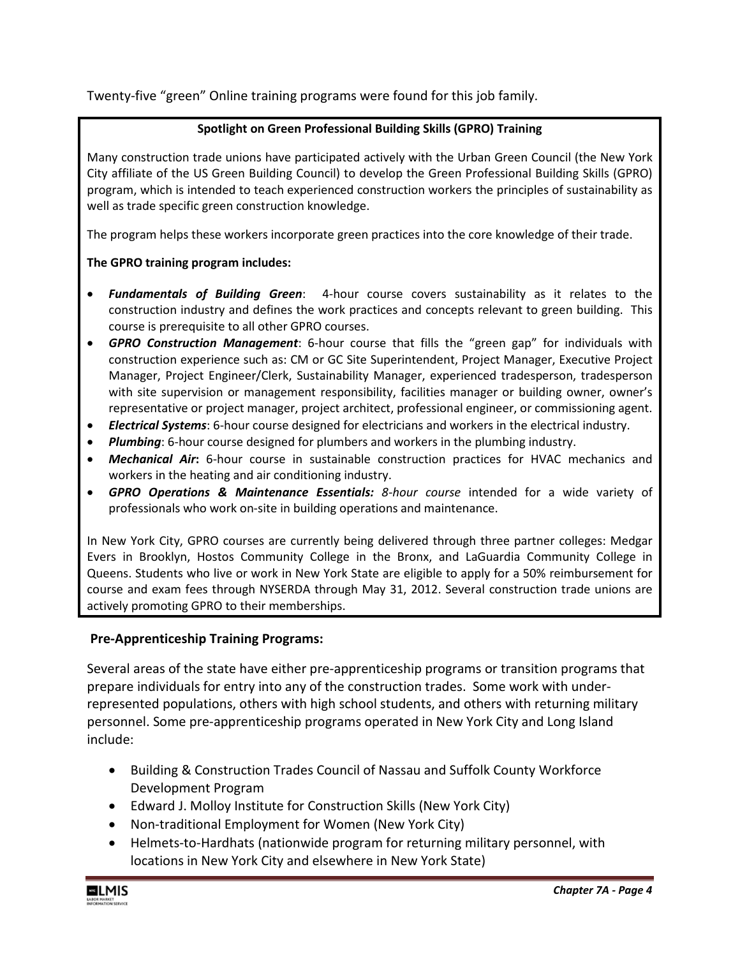Twenty-five "green" Online training programs were found for this job family.

#### **Spotlight on Green Professional Building Skills (GPRO) Training**

Many construction trade unions have participated actively with the Urban Green Council (the New York City affiliate of the US Green Building Council) to develop the Green Professional Building Skills (GPRO) program, which is intended to teach experienced construction workers the principles of sustainability as well as trade specific green construction knowledge.

The program helps these workers incorporate green practices into the core knowledge of their trade.

### **The GPRO training program includes:**

- *Fundamentals of Building Green*: 4-hour course covers sustainability as it relates to the construction industry and defines the work practices and concepts relevant to green building. This course is prerequisite to all other GPRO courses.
- *GPRO Construction Management*: 6-hour course that fills the "green gap" for individuals with construction experience such as: CM or GC Site Superintendent, Project Manager, Executive Project Manager, Project Engineer/Clerk, Sustainability Manager, experienced tradesperson, tradesperson with site supervision or management responsibility, facilities manager or building owner, owner's representative or project manager, project architect, professional engineer, or commissioning agent.
- *Electrical Systems*: 6-hour course designed for electricians and workers in the electrical industry.
- *Plumbing*: 6-hour course designed for plumbers and workers in the plumbing industry.
- *Mechanical Air***:** 6-hour course in sustainable construction practices for HVAC mechanics and workers in the heating and air conditioning industry.
- *GPRO Operations & Maintenance Essentials: 8-hour course* intended for a wide variety of professionals who work on-site in building operations and maintenance.

In New York City, GPRO courses are currently being delivered through three partner colleges: Medgar Evers in Brooklyn, Hostos Community College in the Bronx, and LaGuardia Community College in Queens. Students who live or work in New York State are eligible to apply for a 50% reimbursement for course and exam fees through NYSERDA through May 31, 2012. Several construction trade unions are actively promoting GPRO to their memberships.

### **Pre-Apprenticeship Training Programs:**

Several areas of the state have either pre-apprenticeship programs or transition programs that prepare individuals for entry into any of the construction trades. Some work with underrepresented populations, others with high school students, and others with returning military personnel. Some pre-apprenticeship programs operated in New York City and Long Island include:

- Building & Construction Trades Council of Nassau and Suffolk County Workforce Development Program
- Edward J. Molloy Institute for Construction Skills (New York City)
- Non-traditional Employment for Women (New York City)
- Helmets-to-Hardhats (nationwide program for returning military personnel, with locations in New York City and elsewhere in New York State)

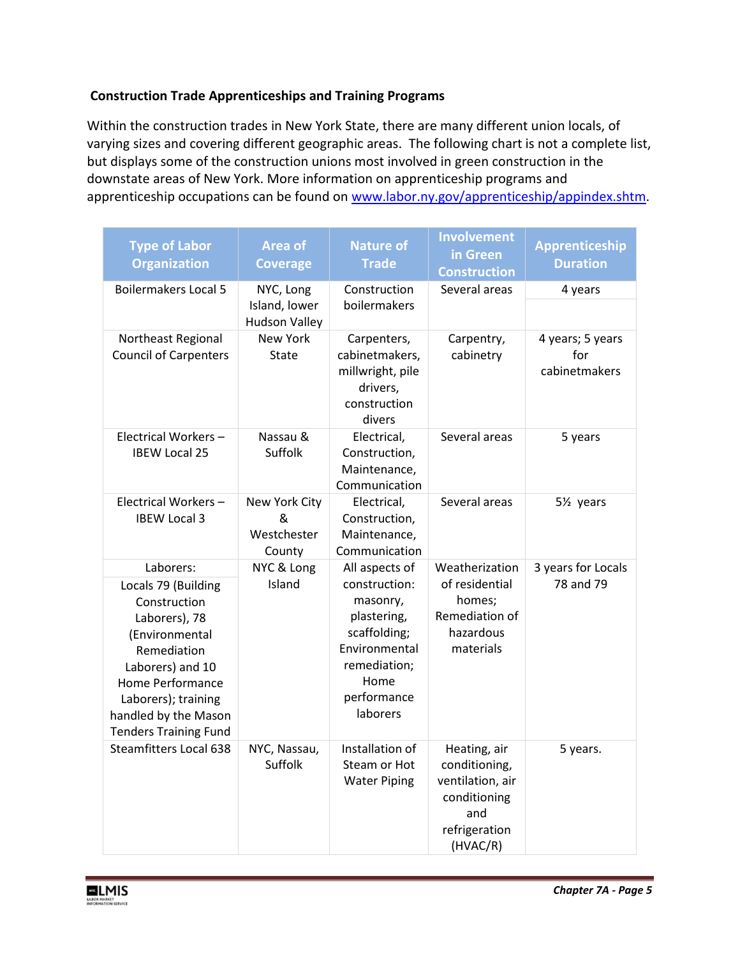### **Construction Trade Apprenticeships and Training Programs**

Within the construction trades in New York State, there are many different union locals, of varying sizes and covering different geographic areas. The following chart is not a complete list, but displays some of the construction unions most involved in green construction in the downstate areas of New York. More information on apprenticeship programs and apprenticeship occupations can be found on [www.labor.ny.gov/apprenticeship/appindex.shtm.](http://www.labor.ny.gov/apprenticeship/appindex.shtm)

| <b>Type of Labor</b><br><b>Organization</b>                                                                                                                                                                               | <b>Area of</b><br><b>Coverage</b>                  | <b>Nature of</b><br><b>Trade</b>                                                                                                               | <b>Involvement</b><br>in Green<br><b>Construction</b>                                                 | Apprenticeship<br><b>Duration</b>        |
|---------------------------------------------------------------------------------------------------------------------------------------------------------------------------------------------------------------------------|----------------------------------------------------|------------------------------------------------------------------------------------------------------------------------------------------------|-------------------------------------------------------------------------------------------------------|------------------------------------------|
| <b>Boilermakers Local 5</b>                                                                                                                                                                                               | NYC, Long<br>Island, lower<br><b>Hudson Valley</b> | Construction<br>boilermakers                                                                                                                   | Several areas                                                                                         | 4 years                                  |
| Northeast Regional<br><b>Council of Carpenters</b>                                                                                                                                                                        | New York<br><b>State</b>                           | Carpenters,<br>cabinetmakers,<br>millwright, pile<br>drivers,<br>construction<br>divers                                                        | Carpentry,<br>cabinetry                                                                               | 4 years; 5 years<br>for<br>cabinetmakers |
| Electrical Workers-<br><b>IBEW Local 25</b>                                                                                                                                                                               | Nassau &<br>Suffolk                                | Electrical,<br>Construction,<br>Maintenance,<br>Communication                                                                                  | Several areas                                                                                         | 5 years                                  |
| Electrical Workers-<br><b>IBEW Local 3</b>                                                                                                                                                                                | New York City<br>&<br>Westchester<br>County        | Electrical.<br>Construction,<br>Maintenance,<br>Communication                                                                                  | Several areas                                                                                         | 5½ years                                 |
| Laborers:<br>Locals 79 (Building<br>Construction<br>Laborers), 78<br>(Environmental<br>Remediation<br>Laborers) and 10<br>Home Performance<br>Laborers); training<br>handled by the Mason<br><b>Tenders Training Fund</b> | NYC & Long<br>Island                               | All aspects of<br>construction:<br>masonry,<br>plastering,<br>scaffolding;<br>Environmental<br>remediation;<br>Home<br>performance<br>laborers | Weatherization<br>of residential<br>homes;<br>Remediation of<br>hazardous<br>materials                | 3 years for Locals<br>78 and 79          |
| <b>Steamfitters Local 638</b>                                                                                                                                                                                             | NYC, Nassau,<br>Suffolk                            | Installation of<br>Steam or Hot<br><b>Water Piping</b>                                                                                         | Heating, air<br>conditioning,<br>ventilation, air<br>conditioning<br>and<br>refrigeration<br>(HVAC/R) | 5 years.                                 |

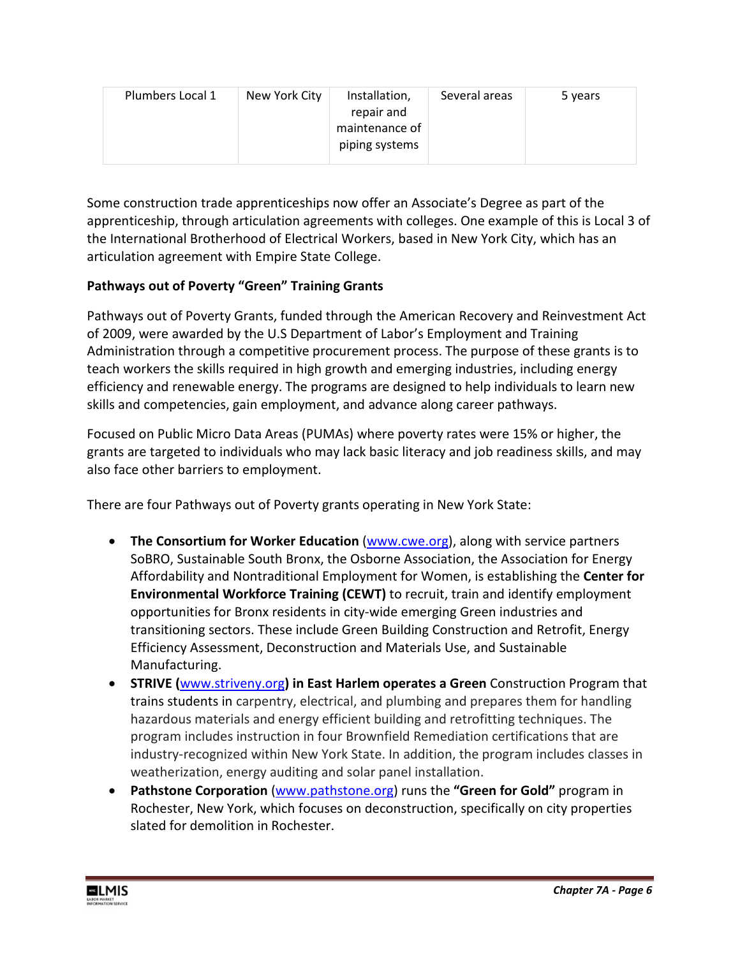| Plumbers Local 1 | New York City | Installation,<br>repair and | Several areas | 5 years |
|------------------|---------------|-----------------------------|---------------|---------|
|                  |               | maintenance of              |               |         |
|                  |               | piping systems              |               |         |

Some construction trade apprenticeships now offer an Associate's Degree as part of the apprenticeship, through articulation agreements with colleges. One example of this is Local 3 of the International Brotherhood of Electrical Workers, based in New York City, which has an articulation agreement with Empire State College.

## **Pathways out of Poverty "Green" Training Grants**

Pathways out of Poverty Grants, funded through the American Recovery and Reinvestment Act of 2009, were awarded by the U.S Department of Labor's Employment and Training Administration through a competitive procurement process. The purpose of these grants is to teach workers the skills required in high growth and emerging industries, including energy efficiency and renewable energy. The programs are designed to help individuals to learn new skills and competencies, gain employment, and advance along career pathways.

Focused on Public Micro Data Areas (PUMAs) where poverty rates were 15% or higher, the grants are targeted to individuals who may lack basic literacy and job readiness skills, and may also face other barriers to employment.

There are four Pathways out of Poverty grants operating in New York State:

- **The Consortium for Worker Education** [\(www.cwe.org\)](http://www.cwe.org/), along with service partners SoBRO, Sustainable South Bronx, the Osborne Association, the Association for Energy Affordability and Nontraditional Employment for Women, is establishing the **Center for Environmental Workforce Training (CEWT)** to recruit, train and identify employment opportunities for Bronx residents in city-wide emerging Green industries and transitioning sectors. These include Green Building Construction and Retrofit, Energy Efficiency Assessment, Deconstruction and Materials Use, and Sustainable Manufacturing.
- **STRIVE (**[www.striveny.org](http://www.striveny.org/)**) in East Harlem operates a Green** Construction Program that trains students in carpentry, electrical, and plumbing and prepares them for handling hazardous materials and energy efficient building and retrofitting techniques. The program includes instruction in four Brownfield Remediation certifications that are industry-recognized within New York State. In addition, the program includes classes in weatherization, energy auditing and solar panel installation.
- **Pathstone Corporation** [\(www.pathstone.org\)](http://www.pathstone.org/) runs the **"Green for Gold"** program in Rochester, New York, which focuses on deconstruction, specifically on city properties slated for demolition in Rochester.

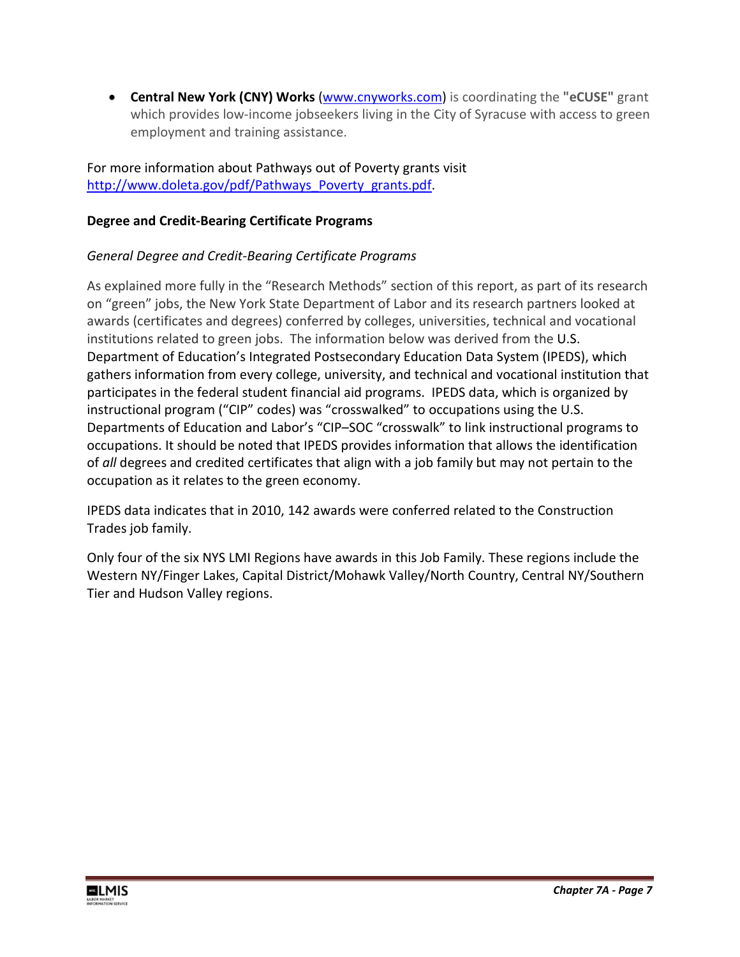• **Central New York (CNY) Works** [\(www.cnyworks.com\)](http://www.cnyworks.com/) is coordinating the **"eCUSE"** grant which provides low-income jobseekers living in the City of Syracuse with access to green employment and training assistance.

For more information about Pathways out of Poverty grants visit [http://www.doleta.gov/pdf/Pathways\\_Poverty\\_grants.pdf.](http://www.doleta.gov/pdf/Pathways_Poverty_grants.pdf)

## **Degree and Credit-Bearing Certificate Programs**

# *General Degree and Credit-Bearing Certificate Programs*

As explained more fully in the "Research Methods" section of this report, as part of its research on "green" jobs, the New York State Department of Labor and its research partners looked at awards (certificates and degrees) conferred by colleges, universities, technical and vocational institutions related to green jobs. The information below was derived from the U.S. Department of Education's Integrated Postsecondary Education Data System (IPEDS), which gathers information from every college, university, and technical and vocational institution that participates in the federal student financial aid programs. IPEDS data, which is organized by instructional program ("CIP" codes) was "crosswalked" to occupations using the U.S. Departments of Education and Labor's "CIP–SOC "crosswalk" to link instructional programs to occupations. It should be noted that IPEDS provides information that allows the identification of *all* degrees and credited certificates that align with a job family but may not pertain to the occupation as it relates to the green economy.

IPEDS data indicates that in 2010, 142 awards were conferred related to the Construction Trades job family.

Only four of the six NYS LMI Regions have awards in this Job Family. These regions include the Western NY/Finger Lakes, Capital District/Mohawk Valley/North Country, Central NY/Southern Tier and Hudson Valley regions.

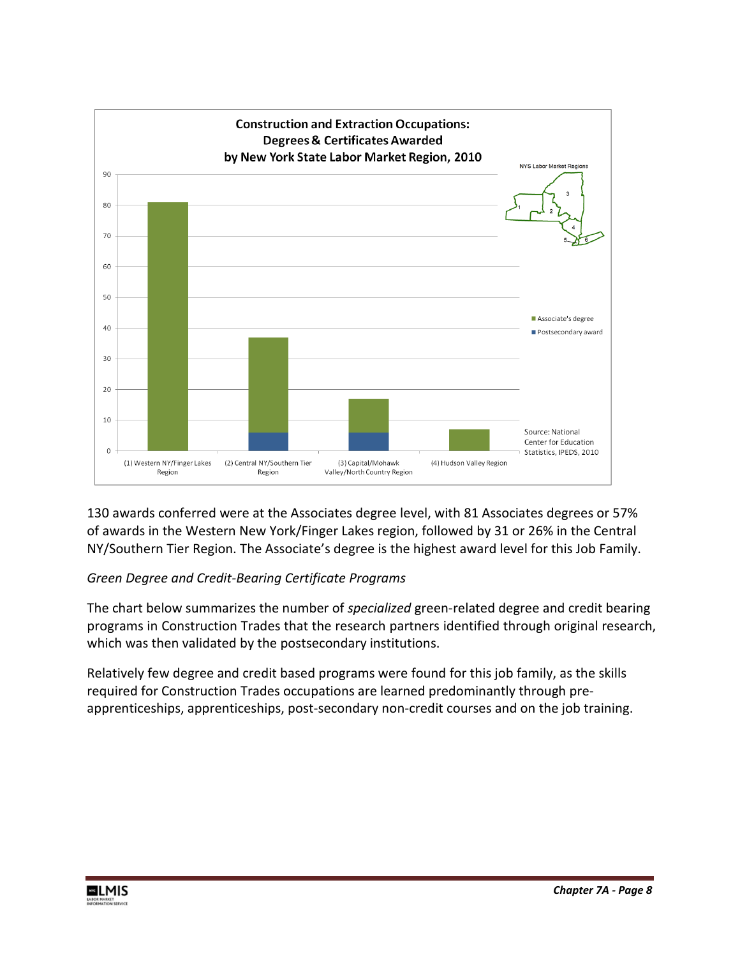

130 awards conferred were at the Associates degree level, with 81 Associates degrees or 57% of awards in the Western New York/Finger Lakes region, followed by 31 or 26% in the Central NY/Southern Tier Region. The Associate's degree is the highest award level for this Job Family.

### *Green Degree and Credit-Bearing Certificate Programs*

The chart below summarizes the number of *specialized* green-related degree and credit bearing programs in Construction Trades that the research partners identified through original research, which was then validated by the postsecondary institutions.

Relatively few degree and credit based programs were found for this job family, as the skills required for Construction Trades occupations are learned predominantly through preapprenticeships, apprenticeships, post-secondary non-credit courses and on the job training.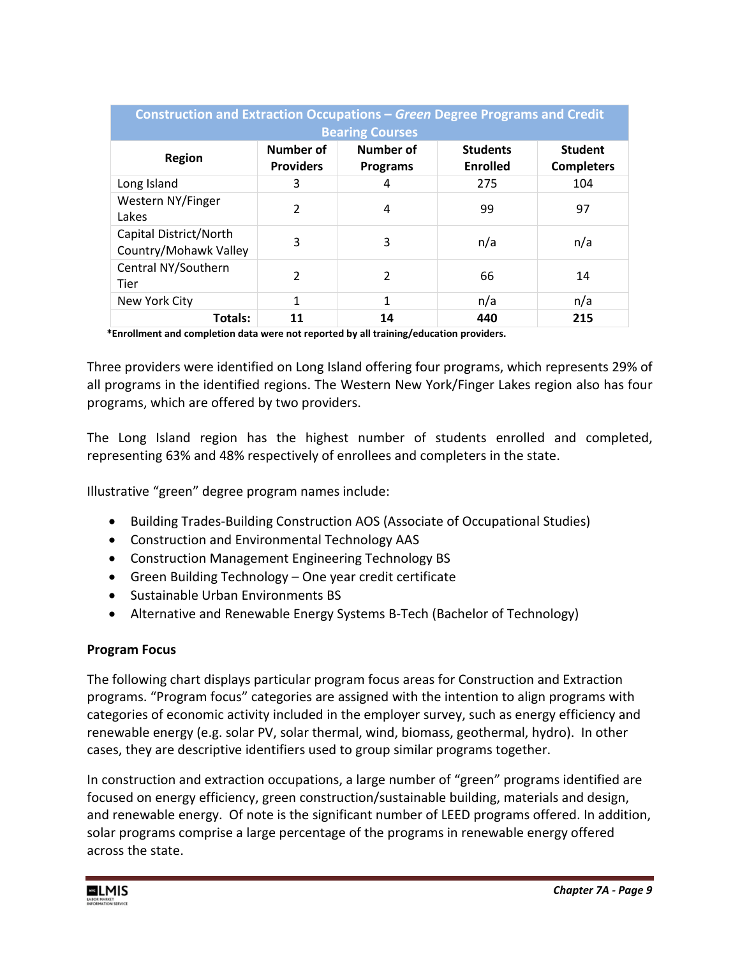| <b>Construction and Extraction Occupations – Green Degree Programs and Credit</b><br><b>Bearing Courses</b> |                               |                                     |                             |                                     |  |
|-------------------------------------------------------------------------------------------------------------|-------------------------------|-------------------------------------|-----------------------------|-------------------------------------|--|
| Region                                                                                                      | Number of<br><b>Providers</b> | <b>Number of</b><br><b>Programs</b> | <b>Students</b><br>Enrolled | <b>Student</b><br><b>Completers</b> |  |
| Long Island                                                                                                 | 3                             | 4                                   | 275                         | 104                                 |  |
| Western NY/Finger<br>Lakes                                                                                  | 2                             | 4                                   | 99                          | 97                                  |  |
| Capital District/North<br>Country/Mohawk Valley                                                             | 3                             | 3                                   | n/a                         | n/a                                 |  |
| Central NY/Southern<br>Tier                                                                                 | $\overline{2}$                | 2                                   | 66                          | 14                                  |  |
| New York City                                                                                               | $\mathbf{1}$                  | 1                                   | n/a                         | n/a                                 |  |
| Totals:                                                                                                     | 11                            | 14                                  | 440                         | 215                                 |  |

 **\*Enrollment and completion data were not reported by all training/education providers.**

Three providers were identified on Long Island offering four programs, which represents 29% of all programs in the identified regions. The Western New York/Finger Lakes region also has four programs, which are offered by two providers.

The Long Island region has the highest number of students enrolled and completed, representing 63% and 48% respectively of enrollees and completers in the state.

Illustrative "green" degree program names include:

- Building Trades-Building Construction AOS (Associate of Occupational Studies)
- Construction and Environmental Technology AAS
- Construction Management Engineering Technology BS
- Green Building Technology One year credit certificate
- Sustainable Urban Environments BS
- Alternative and Renewable Energy Systems B-Tech (Bachelor of Technology)

#### **Program Focus**

The following chart displays particular program focus areas for Construction and Extraction programs. "Program focus" categories are assigned with the intention to align programs with categories of economic activity included in the employer survey, such as energy efficiency and renewable energy (e.g. solar PV, solar thermal, wind, biomass, geothermal, hydro). In other cases, they are descriptive identifiers used to group similar programs together.

In construction and extraction occupations, a large number of "green" programs identified are focused on energy efficiency, green construction/sustainable building, materials and design, and renewable energy. Of note is the significant number of LEED programs offered. In addition, solar programs comprise a large percentage of the programs in renewable energy offered across the state.

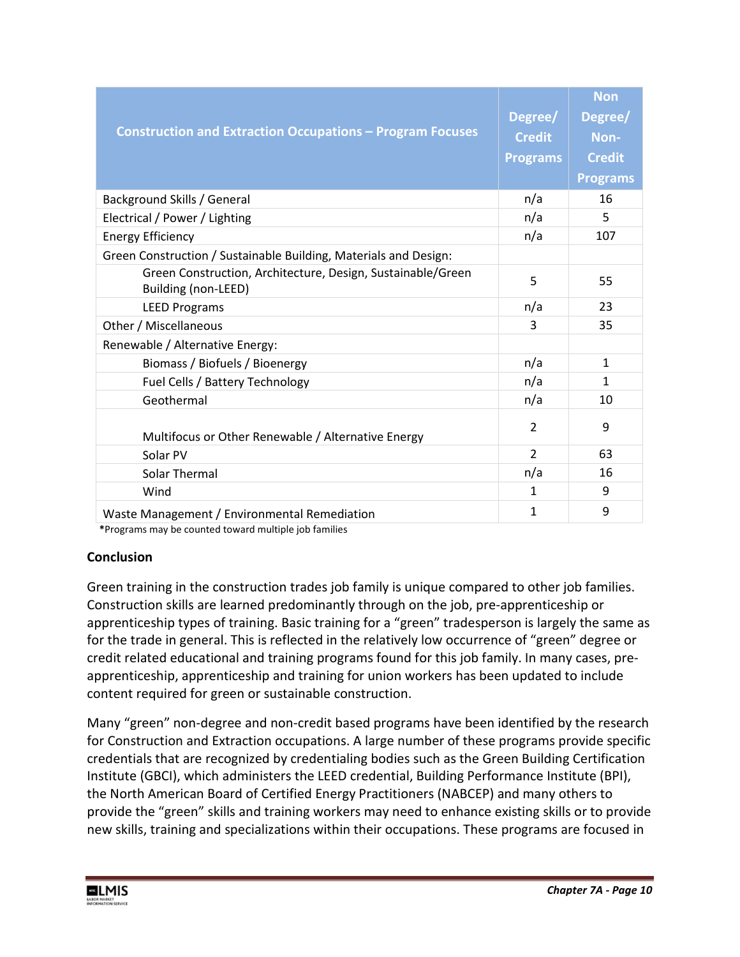| <b>Construction and Extraction Occupations - Program Focuses</b>                   | Degree/<br><b>Credit</b><br><b>Programs</b> | <b>Non</b><br>Degree/<br>Non-<br><b>Credit</b><br><b>Programs</b> |
|------------------------------------------------------------------------------------|---------------------------------------------|-------------------------------------------------------------------|
| Background Skills / General                                                        | n/a                                         | 16                                                                |
| Electrical / Power / Lighting                                                      | n/a                                         | 5                                                                 |
| <b>Energy Efficiency</b>                                                           | n/a                                         | 107                                                               |
| Green Construction / Sustainable Building, Materials and Design:                   |                                             |                                                                   |
| Green Construction, Architecture, Design, Sustainable/Green<br>Building (non-LEED) | 5                                           | 55                                                                |
| <b>LEED Programs</b>                                                               | n/a                                         | 23                                                                |
| Other / Miscellaneous                                                              | 3                                           | 35                                                                |
| Renewable / Alternative Energy:                                                    |                                             |                                                                   |
| Biomass / Biofuels / Bioenergy                                                     | n/a                                         | 1                                                                 |
| Fuel Cells / Battery Technology                                                    | n/a                                         | $\mathbf{1}$                                                      |
| Geothermal                                                                         | n/a                                         | 10                                                                |
| Multifocus or Other Renewable / Alternative Energy                                 | $\overline{2}$                              | 9                                                                 |
| Solar PV                                                                           | $\overline{2}$                              | 63                                                                |
| Solar Thermal                                                                      | n/a                                         | 16                                                                |
| Wind                                                                               | 1                                           | 9                                                                 |
| Waste Management / Environmental Remediation                                       | $\mathbf{1}$                                | 9                                                                 |

 **\***Programs may be counted toward multiple job families

### **Conclusion**

Green training in the construction trades job family is unique compared to other job families. Construction skills are learned predominantly through on the job, pre-apprenticeship or apprenticeship types of training. Basic training for a "green" tradesperson is largely the same as for the trade in general. This is reflected in the relatively low occurrence of "green" degree or credit related educational and training programs found for this job family. In many cases, preapprenticeship, apprenticeship and training for union workers has been updated to include content required for green or sustainable construction.

Many "green" non-degree and non-credit based programs have been identified by the research for Construction and Extraction occupations. A large number of these programs provide specific credentials that are recognized by credentialing bodies such as the Green Building Certification Institute (GBCI), which administers the LEED credential, Building Performance Institute (BPI), the North American Board of Certified Energy Practitioners (NABCEP) and many others to provide the "green" skills and training workers may need to enhance existing skills or to provide new skills, training and specializations within their occupations. These programs are focused in